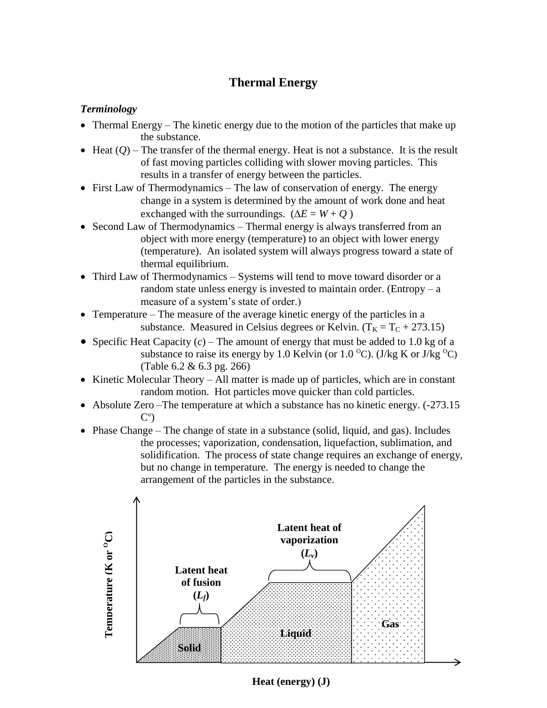## **Thermal Energy**

## *Terminology*

- Thermal Energy The kinetic energy due to the motion of the particles that make up the substance.
- $\bullet$  Heat  $(Q)$  The transfer of the thermal energy. Heat is not a substance. It is the result of fast moving particles colliding with slower moving particles. This results in a transfer of energy between the particles.
- First Law of Thermodynamics The law of conservation of energy. The energy change in a system is determined by the amount of work done and heat exchanged with the surroundings.  $(\Delta E = W + Q)$
- Second Law of Thermodynamics Thermal energy is always transferred from an object with more energy (temperature) to an object with lower energy (temperature). An isolated system will always progress toward a state of thermal equilibrium.
- Third Law of Thermodynamics Systems will tend to move toward disorder or a random state unless energy is invested to maintain order. (Entropy  $- a$ measure of a system's state of order.)
- Temperature The measure of the average kinetic energy of the particles in a substance. Measured in Celsius degrees or Kelvin.  $(T_K = T_C + 273.15)$
- Specific Heat Capacity  $(c)$  The amount of energy that must be added to 1.0 kg of a substance to raise its energy by 1.0 Kelvin (or 1.0  $^{\circ}$ C). (J/kg K or J/kg  $^{\circ}$ C) (Table 6.2 & 6.3 pg. 266)
- $\bullet$  Kinetic Molecular Theory All matter is made up of particles, which are in constant random motion. Hot particles move quicker than cold particles.
- Absolute Zero –The temperature at which a substance has no kinetic energy.  $(-273.15$  $\mathsf{C}^\circ$
- Phase Change The change of state in a substance (solid, liquid, and gas). Includes the processes; vaporization, condensation, liquefaction, sublimation, and solidification. The process of state change requires an exchange of energy, but no change in temperature. The energy is needed to change the arrangement of the particles in the substance.



**Heat (energy) (J)**